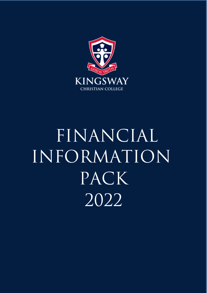

# FINANCIAL INFORMATION PACK 2022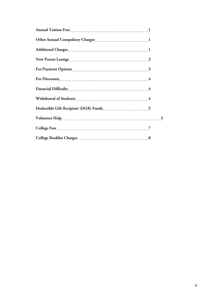| Fee Discounts 4 |  |
|-----------------|--|
|                 |  |
|                 |  |
|                 |  |
|                 |  |
|                 |  |
|                 |  |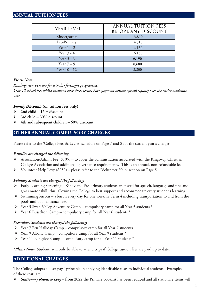# **ANNUAL TUITION FEES**

| <b>YEAR LEVEL</b> | <b>ANNUAL TUITION FEES</b><br>BEFORE ANY DISCOUNT |
|-------------------|---------------------------------------------------|
| Kindergarten      | 3,810                                             |
| Pre-Primary       | 4,510                                             |
| Year $1-2$        | 6,130                                             |
| Year $3 - 4$      | 6,150                                             |
| Year $5 - 6$      | 6,190                                             |
| Year $7-9$        | 8,680                                             |
| Year 10 - 12      | 8,800                                             |

## *Please Note:*

*Kindergarten Fees are for a 5-day fortnight programme.*

*Year 12 school fees whilst incurred over three terms, have payment options spread equally over the entire academic year.*

#### *Family Discounts* (on tuition fees only)

- $\geq$  2nd child 15% discount
- $\geq$  3rd child 30% discount
- $\geq$  4th and subsequent children 60% discount

# **OTHER ANNUAL COMPULSORY CHARGES**

Please refer to the 'College Fees & Levies' schedule on Page 7 and 8 for the current year's charges.

#### *Families are charged the following*:

- Association/Admin Fee (\$195) to cover the administration associated with the Kingsway Christian College Association and additional governance requirements. This is an annual, non-refundable fee.
- $\triangleright$  Volunteer Help Levy (\$250) please refer to the 'Volunteer Help' section on Page 5.

### *Primary Students are charged the following*:

- Early Learning Screening Kindy and Pre-Primary students are tested for speech, language and fine and gross motor skills thus allowing the College to best support and accommodate every student's learning.
- $\triangleright$  Swimming lessons a lesson every day for one week in Term 4 including transportation to and from the pools and pool entrance fees.
- Year 5 Swan Valley Adventure Camp compulsory camp for all Year 5 students \*
- $\triangleright$  Year 6 Busselton Camp compulsory camp for all Year 6 students  $*$

#### *Secondary Students are charged the following:*

- Year 7 Ern Halliday Camp compulsory camp for all Year 7 students \*
- Year 9 Albany Camp compulsory camp for all Year 9 students \*
- $\triangleright$  Year 11 Ningaloo Camp compulsory camp for all Year 11 students  $*$

**\****Please Note:*Students will only be able to attend trips if College tuition fees are paid up to date.

# **ADDITIONAL CHARGES**

The College adopts a 'user pays' principle in applying identifiable costs to individual students. Examples of these costs are:

*Stationary Resource Levy* – from 2022 the Primary booklist has been reduced and all stationary items will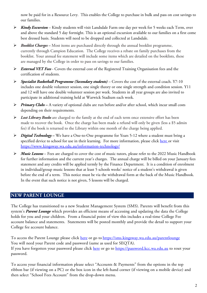now be paid for in a Resource Levy. This enables the College to purchase in bulk and pass on cost savings to our families.

- *Kindy Excursion*  Kindy students will visit Landsdale Farm one day per week for 5 weeks each Term, over and above the standard 5 day fortnight. This is an optional excursion available to our families on a first come best dressed basis. Students will need to be dropped and collected at Landsdale.
- *Booklist Charges –* Most items are purchased directly through the annual booklist programme, currently through Campion Education. The College receives a rebate on family purchases from the booklist. Your annual fee statement will include some items which are detailed on the booklists, these are managed by the College in order to pass on savings to our families.
- *External VET Fees*  Covers the external cost of the Registered Training Organisation fees and the certification of students.
- *Specialist Basketball Programme (Secondary students)* Covers the cost of the external coach. Y7-10 includes one double volunteer session, one single theory or one single strength and condition session. Y11 and 12 will have one double volunteer session per week. Students in all year groups are also invited to participate in additional training held at Warwick Stadium each week.
- *Primary Clubs –* A variety of optional clubs are run before and/or after school, which incur small costs depending on their requirements.
- *Lost Library Books* are charged to the family at the end of each term once extensive effort has been made to recover the book. Once the charge has been made a refund will only be given (less a \$5 admin fee) if the book is returned to the Library within one month of the charge being applied.
- *Digital Technology –* We have a One-to-One programme for Years 5-12 where a student must bring a specified device to school for use in their learning. For more information, please click [here](https://www.kingsway.wa.edu.au/information-technology/) or visit https://www.kingsway.wa.edu.au/information-technology/
- *Music Lessons*  Fees are charged to cover the cost of music tutors, please refer to the 2022 Music Handbook for further information and the current year's charges. The annual charge will be billed on your January fees statement and any credits will be applied termly by the Finance Department. It is a condition of enrolment in individual/group music lessons that at least 5 schools weeks' notice of a student's withdrawal is given before the end of a term. This notice must be via the withdrawal form at the back of the Music Handbook. In the event that such notice is not given, 5 lessons will be charged.

# **NEW PARENT LOUNGE**

The College has transitioned to a new Student Management System (SMS). Parents will benefit from this system's *Parent Lounge* which provides an efficient means of accessing and updating the data the College holds for you and your children. From a financial point of view this includes a real-time College Fee account balance and statements. Statements will be posted monthly and provide the detail to support your College fee account balance.

To access the Parent Lounge please click [here](https://sms.kingsway.wa.edu.au/parentlounge) or go to <https://sms.kingsway.wa.edu.au/parentlounge> You will need your Parent code and password (same as used for SEQTA). If you have forgotten your password please click [here](https://password.kcc.wa.edu.au/) or go to [https://password.kcc.wa.edu.au](https://password.kcc.wa.edu.au/) to reset your password.

To access your financial information please select "Accounts & Payments" from the options in the top ribbon bar (if viewing on a PC) or the box icon in the left-hand corner (if viewing on a mobile device) and then select "School Fees Account" from the drop-down menu.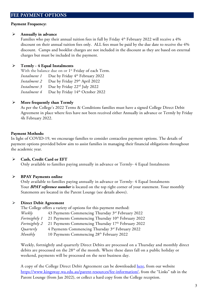# **Payment Frequency:**

# **Annually in advance**

Families who pay their annual tuition fees in full by Friday 4<sup>th</sup> February 2022 will receive a 4% discount on their annual tuition fees only. ALL fees must be paid by the due date to receive the 4% discount. Camps and booklist charges are not included in the discount as they are based on external charges but must be included in the payment.

# **Termly - 4 Equal Instalments**

With the balance due on or 1<sup>st</sup> Friday of each Term.

*Instalment 1* Due by Friday 4<sup>th</sup> February 2022

*Instalment 2* Due by Friday 29<sup>th</sup> April 2022

*Instalment 3* Due by Friday 22<sup>nd</sup> July 2022

*Instalment 4* Due by Friday 14th October 2022

# **More frequently than Termly**

As per the College's 2022 Terms & Conditions families must have a signed College Direct Debit Agreement in place where fees have not been received either Annually in advance or Termly by Friday 4h February 2022.

# **Payment Methods:**

In light of COVID-19, we encourage families to consider contactless payment options. The details of payment options provided below aim to assist families in managing their financial obligations throughout the academic year.

# **Cash, Credit Card or EFT**

Only available to families paying annually in advance or Termly- 4 Equal Instalments

# **BPAY Payments online**

Only available to families paying annually in advance or Termly- 4 Equal Instalments Your *BPAY reference number* is located on the top right corner of your statement. Your monthly Statements are located in the Parent Lounge (see details above).

# **Direct Debit Agreement**

The College offers a variety of options for this payment method:

*Weekly* 43 Payments Commencing Thursday 3rd February 2022

*Fortnightly 1* 21 Payments Commencing Thursday 10<sup>th</sup> February 2022

*Fortnightly 2* 21 Payments Commencing Thursday 17<sup>th</sup> February 2022

*Quarterly* 4 Payments Commencing Thursday 3rd February 2022

*Monthly* 10 Payments Commencing 28<sup>th</sup> February 2022

Weekly, fortnightly and quarterly Direct Debits are processed on a Thursday and monthly direct debits are processed on the 28th of the month. Where these dates fall on a public holiday or weekend, payments will be processed on the next business day.

A copy of the College Direct Debit Agreement can be downloaded [here,](https://www.kingsway.wa.edu.au/parent-resources/fee-information/) from our website [https://www.kingsway.wa.edu.au/parent-resources/fee-information/,](https://www.kingsway.wa.edu.au/parent-resources/fee-information/) from the "Links" tab in the Parent Lounge (from Jan 2022), or collect a hard copy from the College reception.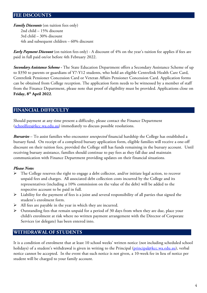## **FEE DISCOUNTS**

*Family Discounts* (on tuition fees only) 2nd child – 15% discount 3rd child – 30% discount 4th and subsequent children – 60% discount

*Early Payment Discount* (on tuition fees only) - A discount of 4% on the year's tuition fee applies if fees are paid in full paid on/or before 4th February 2022.

*Secondary Assistance Scheme -* The State Education Department offers a Secondary Assistance Scheme of up to \$350 to parents or guardians of Y7-Y12 students, who hold an eligible Centrelink Health Care Card, Centrelink Pensioner Concession Card or Veteran Affairs Pensioner Concession Card. Application forms can be obtained from College reception. The application form needs to be witnessed by a member of staff from the Finance Department, please note that proof of eligibility must be provided. Applications close on **Friday, 8th April 2022**.

## **FINANCIAL DIFFICULTY**

Should payment at any time present a difficulty, please contact the Finance Department [\(schoolfees@kcc.wa.edu.au\)](mailto:schoolfees@kcc.wa.edu.au) immediately to discuss possible resolutions.

*Bursaries* – To assist families who encounter *unexpected* financial hardship the College has established a bursary fund. On receipt of a completed bursary application form, eligible families will receive a one-off discount on their tuition fees, provided the College still has funds remaining in the bursary account. Until receiving bursary assistance, families should continue to pay fees as they fall due and maintain communication with Finance Department providing updates on their financial situations.

### *Please Note:*

- $\triangleright$  The College reserves the right to engage a debt collector, and/or initiate legal action, to recover unpaid fees and charges. All associated debt collection costs incurred by the College and its representatives (including a 10% commission on the value of the debt) will be added to the respective account to be paid in full.
- $\triangleright$  Liability for the payment of fees is a joint and several responsibility of all parties that signed the student's enrolment form.
- $\triangleright$  All fees are payable in the year in which they are incurred.
- $\triangleright$  Outstanding fees that remain unpaid for a period of 30 days from when they are due, place your child/s enrolment at risk where no written payment arrangement with the Director of Corporate Services (or delegate) has been entered into.

#### **WITHDRAWAL OF STUDENTS**

It is a condition of enrolment that at least 10 school weeks' written notice (not including scheduled school holidays) of a student's withdrawal is given in writing to the Principal [\(principal@kcc.wa.edu.au\)](mailto:principal@kcc.wa.edu.au), verbal notice cannot be accepted. In the event that such notice is not given, a 10-week fee in lieu of notice per student will be charged to your family account.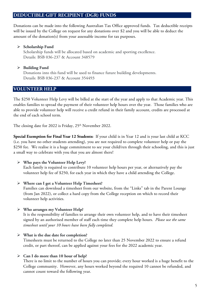# **DEDUCTIBLE GIFT RECIPIENT (DGR) FUNDS**

Donations can be made into the following Australian Tax Office approved funds. Tax deductible receipts will be issued by the College on request for any donations over \$2 and you will be able to deduct the amount of the donation(s) from your assessable income for tax purposes.

#### **Scholarship Fund**

Scholarship funds will be allocated based on academic and sporting excellence. Details: BSB 036-237 & Account 348579

### **Building Fund**

Donations into this fund will be used to finance future building developments. Details: BSB 036-237 & Account 354493

# **VOLUNTEER HELP**

The \$250 Volunteer Help Levy will be billed at the start of the year and apply to that Academic year. This enables families to spread the payment of their volunteer help hours over the year. Those families who are able to provide volunteer help will receive a credit refund in their family account, credits are processed at the end of each school term.

The closing date for 2022 is Friday, 25<sup>th</sup> November 2022.

**Special Exemption for Final Year 12 Students:** If your child is in Year 12 and is your last child at KCC (i.e. you have no other students attending), you are not required to complete volunteer help or pay the \$250 fee. We realise it is a huge commitment to see your child/ren through their schooling, and this is just a small way to celebrate with you that you are almost there!

### **Who pays the Volunteer Help Levy?**

Each family is required to contribute 10 volunteer help hours per year, or alternatively pay the volunteer help fee of \$250, for each year in which they have a child attending the College.

#### **Where can I get a Volunteer Help Timesheet?**

Families can download a timesheet from our website, from the "Links" tab in the Parent Lounge (from Jan 2022), or collect a hard copy from the College reception on which to record their volunteer help activities.

### **Who arranges my Volunteer Help?**

It is the responsibility of families to arrange their own volunteer help, and to have their timesheet signed by an authorised member of staff each time they complete help hours. *Please use the same timesheet until your 10 hours have been fully completed.*

#### **What is the due date for completion?**

Timesheets must be returned to the College no later than 25 November 2022 to ensure a refund credit, or part thereof, can be applied against your fees for the 2022 academic year.

### **Can I do more than 10 hour of help?**

There is no limit to the number of hours you can provide; every hour worked is a huge benefit to the College community. However, any hours worked beyond the required 10 cannot be refunded, and cannot count toward the following year.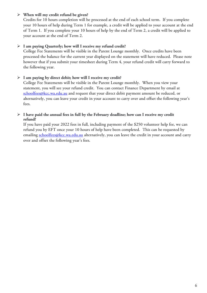#### **When will my credit refund be given?**

Credits for 10 hours completion will be processed at the end of each school term. If you complete your 10 hours of help during Term 1 for example, a credit will be applied to your account at the end of Term 1. If you complete your 10 hours of help by the end of Term 2, a credit will be applied to your account at the end of Term 2.

#### **I am paying Quarterly; how will I receive my refund credit?**

College Fee Statements will be visible in the Parent Lounge monthly. Once credits have been processed the balance for the current year displayed on the statement will have reduced. Please note however that if you submit your timesheet during Term 4, your refund credit will carry forward to the following year.

#### **I am paying by direct debit; how will I receive my credit?**

College Fee Statements will be visible in the Parent Lounge monthly. When you view your statement, you will see your refund credit. You can contact Finance Department by email at [schoolfees@kcc.wa.edu.au](mailto:schoolfees@kcc.wa.edu.au) and request that your direct debit payment amount be reduced, or alternatively, you can leave your credit in your account to carry over and offset the following year's fees.

#### **I have paid the annual fees in full by the February deadline; how can I receive my credit refund?**

If you have paid your 2022 fees in full, including payment of the \$250 volunteer help fee, we can refund you by EFT once your 10 hours of help have been completed. This can be requested by emailing [schoolfees@kcc.wa.edu.au](mailto:schoolfees@kcc.wa.edu.au) alternatively, you can leave the credit in your account and carry over and offset the following year's fees.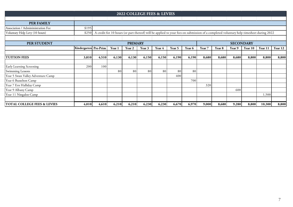| <b>2022 COLLEGE FEES &amp; LEVIES</b> |                       |                                                                                                                                        |        |        |        |        |        |        |                  |        |        |         |         |         |  |
|---------------------------------------|-----------------------|----------------------------------------------------------------------------------------------------------------------------------------|--------|--------|--------|--------|--------|--------|------------------|--------|--------|---------|---------|---------|--|
|                                       |                       |                                                                                                                                        |        |        |        |        |        |        |                  |        |        |         |         |         |  |
| <b>PER FAMILY</b>                     |                       |                                                                                                                                        |        |        |        |        |        |        |                  |        |        |         |         |         |  |
| Association / Admininistration Fee    | \$195                 |                                                                                                                                        |        |        |        |        |        |        |                  |        |        |         |         |         |  |
| Voluntary Help Levy (10 hours)        | \$250                 | A credit for 10 hours (or part thereof) will be applied to your fees on submission of a completed voluntary help timesheet during 2022 |        |        |        |        |        |        |                  |        |        |         |         |         |  |
|                                       |                       |                                                                                                                                        |        |        |        |        |        |        |                  |        |        |         |         |         |  |
| PER STUDENT<br><b>PRIMARY</b>         |                       |                                                                                                                                        |        |        |        |        |        |        | <b>SECONDARY</b> |        |        |         |         |         |  |
|                                       | Kindergarten Pre-Prim |                                                                                                                                        | Year 1 | Year 2 | Year 3 | Year 4 | Year 5 | Year 6 | Year 7           | Year 8 | Year 9 | Year 10 | Year 11 | Year 12 |  |
|                                       |                       |                                                                                                                                        |        |        |        |        |        |        |                  |        |        |         |         |         |  |
| <b>TUITION FEES</b>                   | 3,810                 | 4,510                                                                                                                                  | 6,130  | 6,130  | 6,150  | 6,150  | 6,190  | 6,190  | 8,680            | 8,680  | 8,680  | 8,800   | 8,800   | 8,800   |  |
|                                       |                       |                                                                                                                                        |        |        |        |        |        |        |                  |        |        |         |         |         |  |
| Early Learning Screening              | 200                   | 100                                                                                                                                    |        |        |        |        |        |        |                  |        |        |         |         |         |  |
| Swimming Lessons                      |                       |                                                                                                                                        | 80     | 80     | 80     | 80     | 80     | 80     |                  |        |        |         |         |         |  |
| Year 5 Swan Valley Adventure Camp     |                       |                                                                                                                                        |        |        |        |        | 400    |        |                  |        |        |         |         |         |  |
| Year 6 Busselton Camp                 |                       |                                                                                                                                        |        |        |        |        |        | 700    |                  |        |        |         |         |         |  |
| Year 7 Ern Halliday Camp              |                       |                                                                                                                                        |        |        |        |        |        |        | 320              |        |        |         |         |         |  |
| Year 9 Albany Camp                    |                       |                                                                                                                                        |        |        |        |        |        |        |                  |        | 600    |         |         |         |  |
| Year 11 Ningaloo Camp                 |                       |                                                                                                                                        |        |        |        |        |        |        |                  |        |        |         | 1,500   |         |  |
|                                       |                       |                                                                                                                                        |        |        |        |        |        |        |                  |        |        |         |         |         |  |
| TOTAL COLLEGE FEES & LEVIES           | 4,010                 | 4,610                                                                                                                                  | 6,210  | 6,210  | 6,230  | 6,230  | 6,670  | 6,970  | 9,000            | 8,680  | 9,280  | 8,800   | 10,300  | 8,800   |  |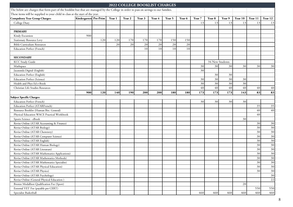|                                                                                                                                       |                       |     |        |        | <b>2022 COLLEGE BOOKLIST CHARGES</b> |        |        |        |        |                 |        |         |         |         |
|---------------------------------------------------------------------------------------------------------------------------------------|-----------------------|-----|--------|--------|--------------------------------------|--------|--------|--------|--------|-----------------|--------|---------|---------|---------|
| The below are charges that form part of the booklist but that are managed by the College in order to pass on savings to our families. |                       |     |        |        |                                      |        |        |        |        |                 |        |         |         |         |
| These items will be supplied to your child in class at the start of the year.                                                         |                       |     |        |        |                                      |        |        |        |        |                 |        |         |         |         |
| <b>Compulsory Year Group Charges:</b>                                                                                                 | Kindergarten Pre-Prim |     | Year 1 | Year 2 | Year 3                               | Year 4 | Year 5 | Year 6 | Year 7 | Year 8          | Year 9 | Year 10 | Year 11 | Year 12 |
| College Diary                                                                                                                         |                       |     |        |        |                                      |        |        |        | 13     | 13              | 13     | 13      | 13      | 13      |
|                                                                                                                                       |                       |     |        |        |                                      |        |        |        |        |                 |        |         |         |         |
| <b>PRIMARY</b>                                                                                                                        |                       |     |        |        |                                      |        |        |        |        |                 |        |         |         |         |
| Kindy Excursion                                                                                                                       | 900                   |     |        |        |                                      |        |        |        |        |                 |        |         |         |         |
| <b>Stationary Resource Levy</b>                                                                                                       |                       | 120 | 120    | 170    | 170                                  | 170    | 150    | 150    |        |                 |        |         |         |         |
| <b>Bible Curriculum Resources</b>                                                                                                     |                       |     | 20     | 20     | 20                                   | 20     | $20\,$ | 20     |        |                 |        |         |         |         |
| <b>Education Perfect (French)</b>                                                                                                     |                       |     |        |        | 10                                   | 10     | 10     | 10     |        |                 |        |         |         |         |
|                                                                                                                                       |                       |     |        |        |                                      |        |        |        |        |                 |        |         |         |         |
| <b>SECONDARY</b>                                                                                                                      |                       |     |        |        |                                      |        |        |        |        |                 |        |         |         |         |
| KCC Study Guide                                                                                                                       |                       |     |        |        |                                      |        |        |        |        | 34 New Students |        |         |         |         |
| Mathspace                                                                                                                             |                       |     |        |        |                                      |        |        |        | 30     | 30              | 30     | 30      | 30      | 30      |
| Jacaranda Digital (English)                                                                                                           |                       |     |        |        |                                      |        |        |        | 30     |                 |        |         |         |         |
| <b>Education Perfect (English)</b>                                                                                                    |                       |     |        |        |                                      |        |        |        |        | 30              | 30     |         |         |         |
| <b>Education Perfect (Science)</b>                                                                                                    |                       |     |        |        |                                      |        |        |        | 30     | 30              | 30     | 30      |         |         |
| Health and Phys Ed e-Book                                                                                                             |                       |     |        |        |                                      |        |        |        | 30     | 30              | 30     | 30      |         |         |
| Christian Life Studies Resources                                                                                                      |                       |     |        |        |                                      |        |        |        | $40\,$ | 40              | 40     | 40      | $40\,$  | 40      |
|                                                                                                                                       | 900                   | 120 | 140    | 190    | 200                                  | 200    | 180    | 180    | 173    | 173             | 173    | 143     | 83      | 83      |
| Subject Specific Charges:                                                                                                             |                       |     |        |        |                                      |        |        |        |        |                 |        |         |         |         |
| <b>Education Perfect (French)</b>                                                                                                     |                       |     |        |        |                                      |        |        |        | 30     | 30              | 30     | 30      |         |         |
| Education Perfect (ATARFrench)                                                                                                        |                       |     |        |        |                                      |        |        |        |        |                 |        |         | 35      | 35      |
| Resource Booklet (Human Bio. General)                                                                                                 |                       |     |        |        |                                      |        |        |        |        |                 |        |         | 40      | 40      |
| Physical Education WACE Practical Workbook                                                                                            |                       |     |        |        |                                      |        |        |        |        |                 |        |         | 40      |         |
| Sports Science - eBook                                                                                                                |                       |     |        |        |                                      |        |        |        |        |                 |        | 30      |         |         |
| Revise Online (ATAR Accounting & Finance)                                                                                             |                       |     |        |        |                                      |        |        |        |        |                 |        |         | 30      | 30      |
| Revise Online (ATAR Biology)                                                                                                          |                       |     |        |        |                                      |        |        |        |        |                 |        |         | 30      | 30      |
| Revise Online (ATAR Chemistry)                                                                                                        |                       |     |        |        |                                      |        |        |        |        |                 |        |         | 30      | 30      |
| Revise Online (ATAR Computer Science)                                                                                                 |                       |     |        |        |                                      |        |        |        |        |                 |        |         | 30      | 30      |
| Revise Online (ATAR English)                                                                                                          |                       |     |        |        |                                      |        |        |        |        |                 |        |         | 30      | 30      |
| Revise Online (ATAR Human Biology)                                                                                                    |                       |     |        |        |                                      |        |        |        |        |                 |        |         | 30      | 30      |
| Revise Online (ATAR Literature)                                                                                                       |                       |     |        |        |                                      |        |        |        |        |                 |        |         | 30      | 30      |
| Revise Online (ATAR Mathematics Applications)                                                                                         |                       |     |        |        |                                      |        |        |        |        |                 |        |         | 30      | 30      |
| Revise Online (ATAR Mathematics Methods)                                                                                              |                       |     |        |        |                                      |        |        |        |        |                 |        |         | 30      | 30      |
| Revise Online (ATAR Mathematics Specialist)                                                                                           |                       |     |        |        |                                      |        |        |        |        |                 |        |         | 30      | 30      |
| Revise Online (ATAR Physical Education)                                                                                               |                       |     |        |        |                                      |        |        |        |        |                 |        |         | 30      | 30      |
| Revise Online (ATAR Physics)                                                                                                          |                       |     |        |        |                                      |        |        |        |        |                 |        |         | 30      | 30      |
| Revise Online (ATAR Psychology)                                                                                                       |                       |     |        |        |                                      |        |        |        |        |                 |        |         |         | 30      |
| Revise Online (General Physical Education)                                                                                            |                       |     |        |        |                                      |        |        |        |        |                 |        |         |         | 22      |
| Bronze Medallion Qualification Fee (Sport)                                                                                            |                       |     |        |        |                                      |        |        |        |        |                 |        | 20      |         |         |
| External VET Fee (payable per CERT)                                                                                                   |                       |     |        |        |                                      |        |        |        |        |                 |        |         | 550     | 550     |
| Specialist Basketball                                                                                                                 |                       |     |        |        |                                      |        |        |        | 460    | 460             | 460    | 460     | 460     | 460     |